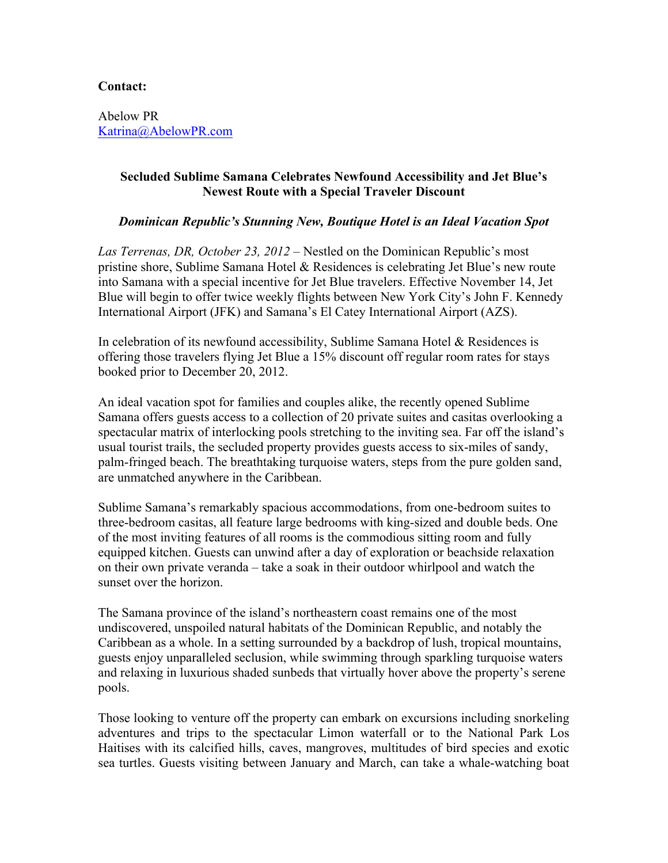## **Contact:**

Abelow PR Katrina@AbelowPR.com

## **Secluded Sublime Samana Celebrates Newfound Accessibility and Jet Blue's Newest Route with a Special Traveler Discount**

## *Dominican Republic's Stunning New, Boutique Hotel is an Ideal Vacation Spot*

*Las Terrenas, DR, October 23, 2012* – Nestled on the Dominican Republic's most pristine shore, Sublime Samana Hotel & Residences is celebrating Jet Blue's new route into Samana with a special incentive for Jet Blue travelers. Effective November 14, Jet Blue will begin to offer twice weekly flights between New York City's John F. Kennedy International Airport (JFK) and Samana's El Catey International Airport (AZS).

In celebration of its newfound accessibility, Sublime Samana Hotel  $\&$  Residences is offering those travelers flying Jet Blue a 15% discount off regular room rates for stays booked prior to December 20, 2012.

An ideal vacation spot for families and couples alike, the recently opened Sublime Samana offers guests access to a collection of 20 private suites and casitas overlooking a spectacular matrix of interlocking pools stretching to the inviting sea. Far off the island's usual tourist trails, the secluded property provides guests access to six-miles of sandy, palm-fringed beach. The breathtaking turquoise waters, steps from the pure golden sand, are unmatched anywhere in the Caribbean.

Sublime Samana's remarkably spacious accommodations, from one-bedroom suites to three-bedroom casitas, all feature large bedrooms with king-sized and double beds. One of the most inviting features of all rooms is the commodious sitting room and fully equipped kitchen. Guests can unwind after a day of exploration or beachside relaxation on their own private veranda – take a soak in their outdoor whirlpool and watch the sunset over the horizon.

The Samana province of the island's northeastern coast remains one of the most undiscovered, unspoiled natural habitats of the Dominican Republic, and notably the Caribbean as a whole. In a setting surrounded by a backdrop of lush, tropical mountains, guests enjoy unparalleled seclusion, while swimming through sparkling turquoise waters and relaxing in luxurious shaded sunbeds that virtually hover above the property's serene pools.

Those looking to venture off the property can embark on excursions including snorkeling adventures and trips to the spectacular Limon waterfall or to the National Park Los Haitises with its calcified hills, caves, mangroves, multitudes of bird species and exotic sea turtles. Guests visiting between January and March, can take a whale-watching boat